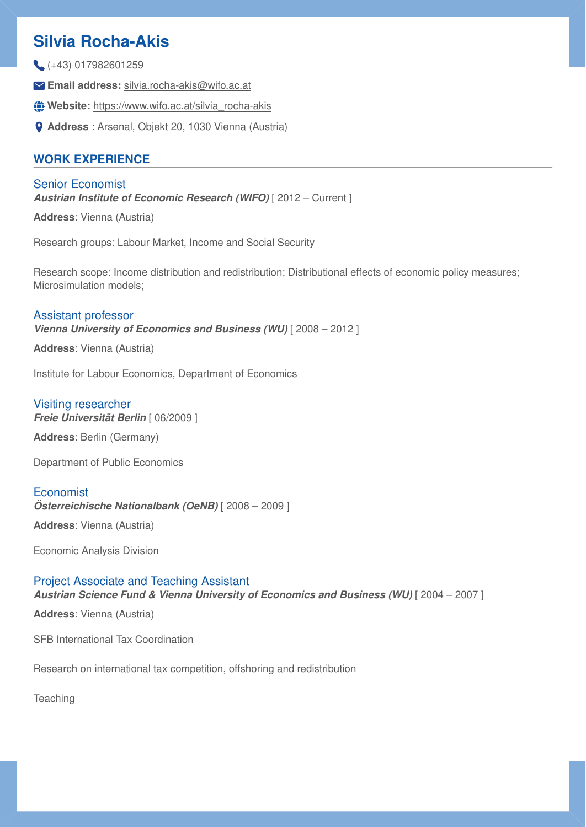# **Silvia Rocha-Akis**

- (+43) 017982601259
- **Email address:** [silvia.rocha-akis@wifo.ac.at](mailto:silvia.rocha-akis@wifo.ac.at)
- **Website:** [https://www.wifo.ac.at/silvia\\_rocha-akis](https://www.wifo.ac.at/silvia_rocha-akis)
- **Address** : Arsenal, Objekt 20, 1030 Vienna (Austria)

# **WORK EXPERIENCE**

Senior Economist **Austrian Institute of Economic Research (WIFO)** [2012 – Current]

**Address**: Vienna (Austria)

Research groups: Labour Market, Income and Social Security

Research scope: Income distribution and redistribution; Distributional effects of economic policy measures; Microsimulation models;

### Assistant professor

*Vienna University of Economics and Business (WU)* [ 2008 – 2012 ]

**Address**: Vienna (Austria)

Institute for Labour Economics, Department of Economics

# Visiting researcher

*Freie Universität Berlin* [ 06/2009 ]

**Address**: Berlin (Germany)

Department of Public Economics

# **Economist**

*Österreichische Nationalbank (OeNB)* [ 2008 – 2009 ]

**Address**: Vienna (Austria)

Economic Analysis Division

# Project Associate and Teaching Assistant *Austrian Science Fund & Vienna University of Economics and Business (WU)* [ 2004 – 2007 ]

**Address**: Vienna (Austria)

SFB International Tax Coordination

Research on international tax competition, offshoring and redistribution

**Teaching**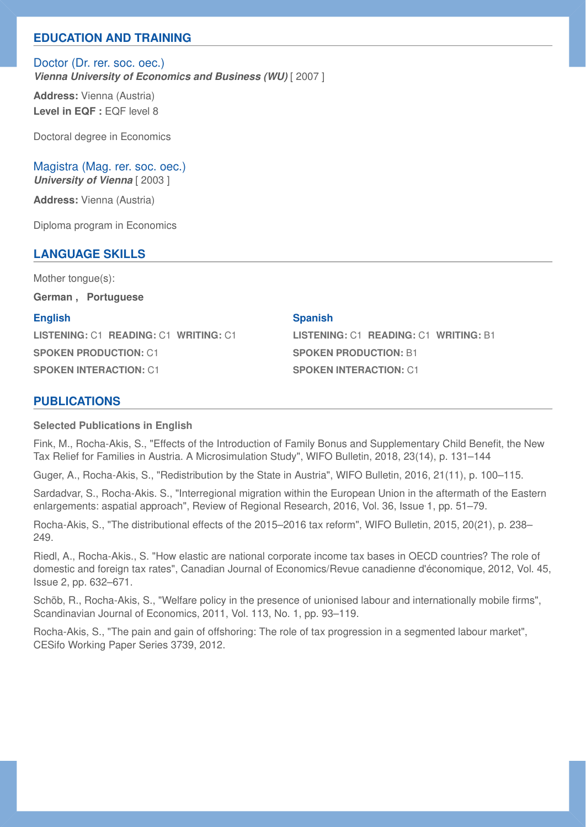# **EDUCATION AND TRAINING**

Doctor (Dr. rer. soc. oec.) *Vienna University of Economics and Business (WU)* [ 2007 ]

**Address:** Vienna (Austria) Level in EQF : EQF level 8

Doctoral degree in Economics

Magistra (Mag. rer. soc. oec.) *University of Vienna* [ 2003 ]

**Address:** Vienna (Austria)

Diploma program in Economics

# **LANGUAGE SKILLS**

Mother tongue(s): **German , Portuguese**

**English** 

**LISTENING:** C1 **READING:** C1 **WRITING:** C1 **SPOKEN PRODUCTION:** C1 **SPOKEN INTERACTION:** C1

### **Spanish**

**LISTENING:** C1 **READING:** C1 **WRITING:** B1 **SPOKEN PRODUCTION:** B1 **SPOKEN INTERACTION:** C1

# **PUBLICATIONS**

### **Selected Publications in English**

Fink, M., Rocha-Akis, S., "Effects of the Introduction of Family Bonus and Supplementary Child Benefit, the New Tax Relief for Families in Austria. A Microsimulation Study", WIFO Bulletin, 2018, 23(14), p. 131–144

Guger, A., Rocha-Akis, S., "Redistribution by the State in Austria", WIFO Bulletin, 2016, 21(11), p. 100–115.

Sardadvar, S., Rocha-Akis. S., "Interregional migration within the European Union in the aftermath of the Eastern enlargements: aspatial approach", Review of Regional Research, 2016, Vol. 36, Issue 1, pp. 51–79.

Rocha-Akis, S., "The distributional effects of the 2015–2016 tax reform", WIFO Bulletin, 2015, 20(21), p. 238– 249.

Riedl, A., Rocha-Akis., S. "How elastic are national corporate income tax bases in OECD countries? The role of domestic and foreign tax rates", Canadian Journal of Economics/Revue canadienne d'économique, 2012, Vol. 45, Issue 2, pp. 632–671.

Schöb, R., Rocha-Akis, S., "Welfare policy in the presence of unionised labour and internationally mobile firms", Scandinavian Journal of Economics, 2011, Vol. 113, No. 1, pp. 93–119.

Rocha-Akis, S., "The pain and gain of offshoring: The role of tax progression in a segmented labour market", CESifo Working Paper Series 3739, 2012.